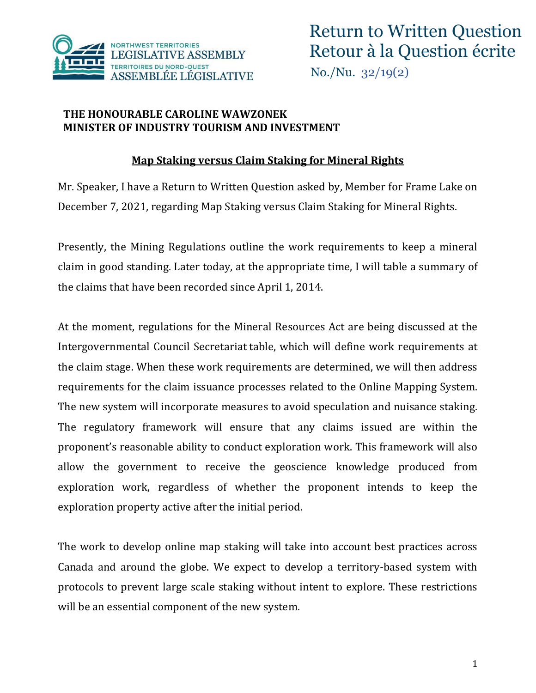

## **THE HONOURABLE CAROLINE WAWZONEK MINISTER OF INDUSTRY TOURISM AND INVESTMENT**

## **Map Staking versus Claim Staking for Mineral Rights**

Mr. Speaker, I have a Return to Written Question asked by, Member for Frame Lake on December 7, 2021, regarding Map Staking versus Claim Staking for Mineral Rights.

Presently, the Mining Regulations outline the work requirements to keep a mineral claim in good standing. Later today, at the appropriate time, I will table a summary of the claims that have been recorded since April 1, 2014.

At the moment, regulations for the Mineral Resources Act are being discussed at the Intergovernmental Council Secretariat table, which will define work requirements at the claim stage. When these work requirements are determined, we will then address requirements for the claim issuance processes related to the Online Mapping System. The new system will incorporate measures to avoid speculation and nuisance staking. The regulatory framework will ensure that any claims issued are within the proponent's reasonable ability to conduct exploration work. This framework will also allow the government to receive the geoscience knowledge produced from exploration work, regardless of whether the proponent intends to keep the exploration property active after the initial period.

The work to develop online map staking will take into account best practices across Canada and around the globe. We expect to develop a territory-based system with protocols to prevent large scale staking without intent to explore. These restrictions will be an essential component of the new system.